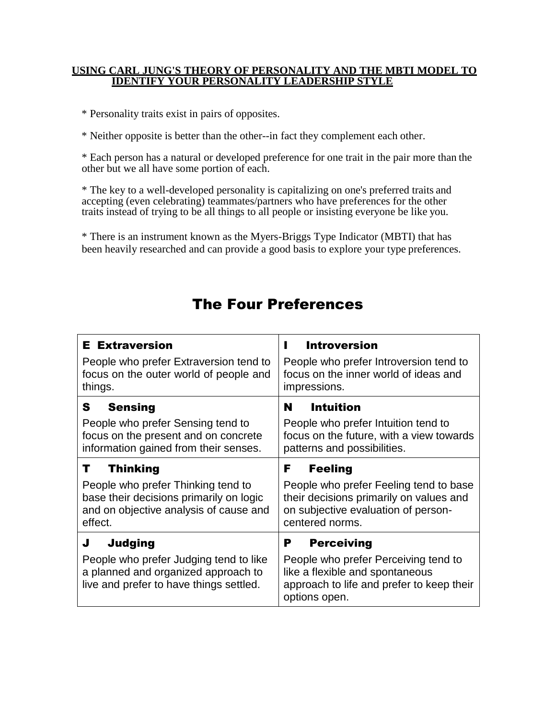#### **USING CARL JUNG'S THEORY OF PERSONALITY AND THE MBTI MODEL TO IDENTIFY YOUR PERSONALITY LEADERSHIP STYLE**

\* Personality traits exist in pairs of opposites.

\* Neither opposite is better than the other--in fact they complement each other.

\* Each person has a natural or developed preference for one trait in the pair more than the other but we all have some portion of each.

\* The key to a well-developed personality is capitalizing on one's preferred traits and accepting (even celebrating) teammates/partners who have preferences for the other traits instead of trying to be all things to all people or insisting everyone be like you.

\* There is an instrument known as the Myers-Briggs Type Indicator (MBTI) that has been heavily researched and can provide a good basis to explore your type preferences.

# The Four Preferences

| <b>E</b> Extraversion                                                                                                                    | <b>Introversion</b>                                                                                                                                             |
|------------------------------------------------------------------------------------------------------------------------------------------|-----------------------------------------------------------------------------------------------------------------------------------------------------------------|
| People who prefer Extraversion tend to                                                                                                   | People who prefer Introversion tend to                                                                                                                          |
| focus on the outer world of people and                                                                                                   | focus on the inner world of ideas and                                                                                                                           |
| things.                                                                                                                                  | impressions.                                                                                                                                                    |
| <b>Sensing</b>                                                                                                                           | <b>Intuition</b>                                                                                                                                                |
| S                                                                                                                                        | N                                                                                                                                                               |
| People who prefer Sensing tend to                                                                                                        | People who prefer Intuition tend to                                                                                                                             |
| focus on the present and on concrete                                                                                                     | focus on the future, with a view towards                                                                                                                        |
| information gained from their senses.                                                                                                    | patterns and possibilities.                                                                                                                                     |
| <b>Thinking</b>                                                                                                                          | F                                                                                                                                                               |
| т                                                                                                                                        | <b>Feeling</b>                                                                                                                                                  |
| People who prefer Thinking tend to                                                                                                       | People who prefer Feeling tend to base                                                                                                                          |
| base their decisions primarily on logic                                                                                                  | their decisions primarily on values and                                                                                                                         |
| and on objective analysis of cause and                                                                                                   | on subjective evaluation of person-                                                                                                                             |
| effect.                                                                                                                                  | centered norms.                                                                                                                                                 |
| Judging<br>J<br>People who prefer Judging tend to like<br>a planned and organized approach to<br>live and prefer to have things settled. | Р<br><b>Perceiving</b><br>People who prefer Perceiving tend to<br>like a flexible and spontaneous<br>approach to life and prefer to keep their<br>options open. |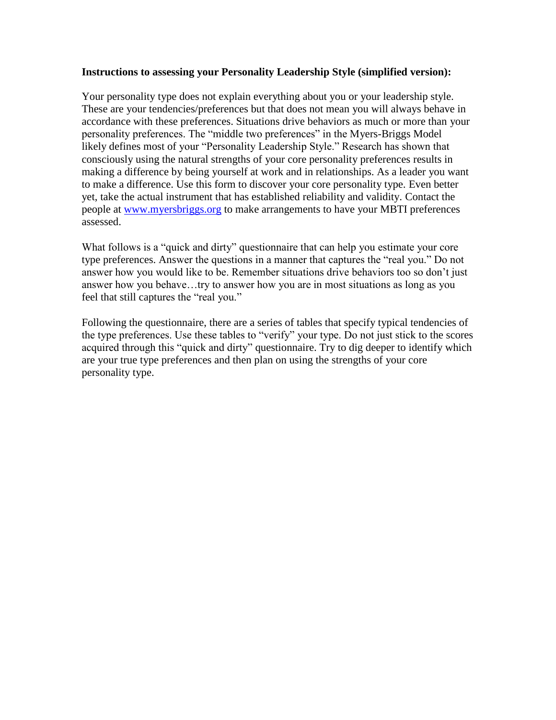#### **Instructions to assessing your Personality Leadership Style (simplified version):**

Your personality type does not explain everything about you or your leadership style. These are your tendencies/preferences but that does not mean you will always behave in accordance with these preferences. Situations drive behaviors as much or more than your personality preferences. The "middle two preferences" in the Myers-Briggs Model likely defines most of your "Personality Leadership Style." Research has shown that consciously using the natural strengths of your core personality preferences results in making a difference by being yourself at work and in relationships. As a leader you want to make a difference. Use this form to discover your core personality type. Even better yet, take the actual instrument that has established reliability and validity. Contact the people at [www.myersbriggs.org](http://www.myersbriggs.org/) to make arrangements to have your MBTI preferences assessed.

What follows is a "quick and dirty" questionnaire that can help you estimate your core type preferences. Answer the questions in a manner that captures the "real you." Do not answer how you would like to be. Remember situations drive behaviors too so don't just answer how you behave…try to answer how you are in most situations as long as you feel that still captures the "real you."

Following the questionnaire, there are a series of tables that specify typical tendencies of the type preferences. Use these tables to "verify" your type. Do not just stick to the scores acquired through this "quick and dirty" questionnaire. Try to dig deeper to identify which are your true type preferences and then plan on using the strengths of your core personality type.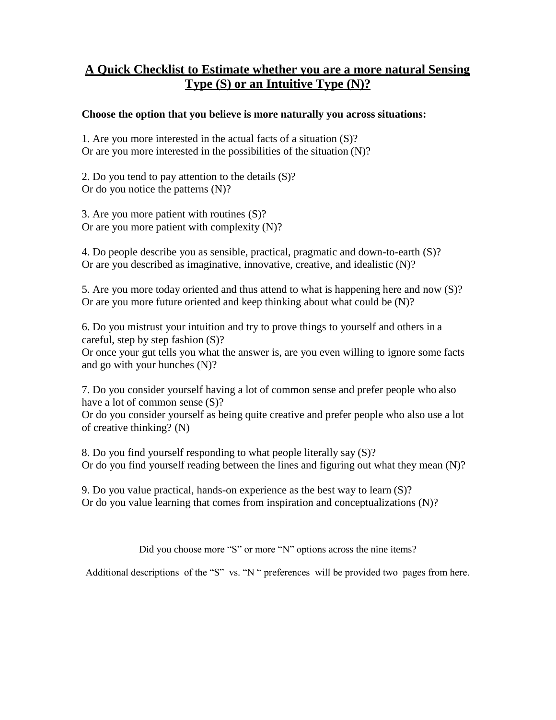### **A Quick Checklist to Estimate whether you are a more natural Sensing Type (S) or an Intuitive Type (N)?**

### **Choose the option that you believe is more naturally you across situations:**

1. Are you more interested in the actual facts of a situation (S)? Or are you more interested in the possibilities of the situation (N)?

2. Do you tend to pay attention to the details (S)? Or do you notice the patterns (N)?

3. Are you more patient with routines (S)? Or are you more patient with complexity (N)?

4. Do people describe you as sensible, practical, pragmatic and down-to-earth (S)? Or are you described as imaginative, innovative, creative, and idealistic (N)?

5. Are you more today oriented and thus attend to what is happening here and now (S)? Or are you more future oriented and keep thinking about what could be (N)?

6. Do you mistrust your intuition and try to prove things to yourself and others in a careful, step by step fashion (S)? Or once your gut tells you what the answer is, are you even willing to ignore some facts and go with your hunches (N)?

7. Do you consider yourself having a lot of common sense and prefer people who also have a lot of common sense  $(S)$ ?

Or do you consider yourself as being quite creative and prefer people who also use a lot of creative thinking? (N)

8. Do you find yourself responding to what people literally say (S)? Or do you find yourself reading between the lines and figuring out what they mean (N)?

9. Do you value practical, hands-on experience as the best way to learn (S)? Or do you value learning that comes from inspiration and conceptualizations (N)?

Did you choose more "S" or more "N" options across the nine items?

Additional descriptions of the "S" vs. "N " preferences will be provided two pages from here.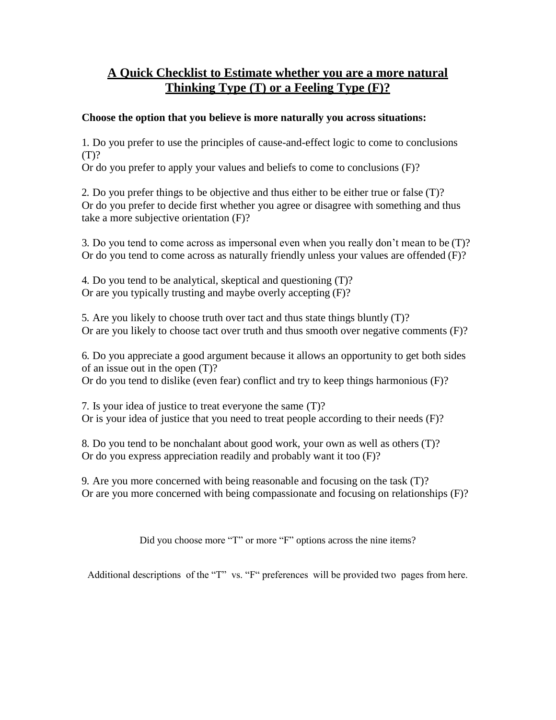### **A Quick Checklist to Estimate whether you are a more natural Thinking Type (T) or a Feeling Type (F)?**

### **Choose the option that you believe is more naturally you across situations:**

1. Do you prefer to use the principles of cause-and-effect logic to come to conclusions (T)?

Or do you prefer to apply your values and beliefs to come to conclusions (F)?

2. Do you prefer things to be objective and thus either to be either true or false (T)? Or do you prefer to decide first whether you agree or disagree with something and thus take a more subjective orientation (F)?

3. Do you tend to come across as impersonal even when you really don't mean to be (T)? Or do you tend to come across as naturally friendly unless your values are offended (F)?

4. Do you tend to be analytical, skeptical and questioning (T)? Or are you typically trusting and maybe overly accepting (F)?

5. Are you likely to choose truth over tact and thus state things bluntly (T)? Or are you likely to choose tact over truth and thus smooth over negative comments (F)?

6. Do you appreciate a good argument because it allows an opportunity to get both sides of an issue out in the open (T)?

Or do you tend to dislike (even fear) conflict and try to keep things harmonious (F)?

7. Is your idea of justice to treat everyone the same (T)? Or is your idea of justice that you need to treat people according to their needs (F)?

8. Do you tend to be nonchalant about good work, your own as well as others (T)? Or do you express appreciation readily and probably want it too (F)?

9. Are you more concerned with being reasonable and focusing on the task (T)? Or are you more concerned with being compassionate and focusing on relationships (F)?

Did you choose more "T" or more "F" options across the nine items?

Additional descriptions of the "T" vs. "F" preferences will be provided two pages from here.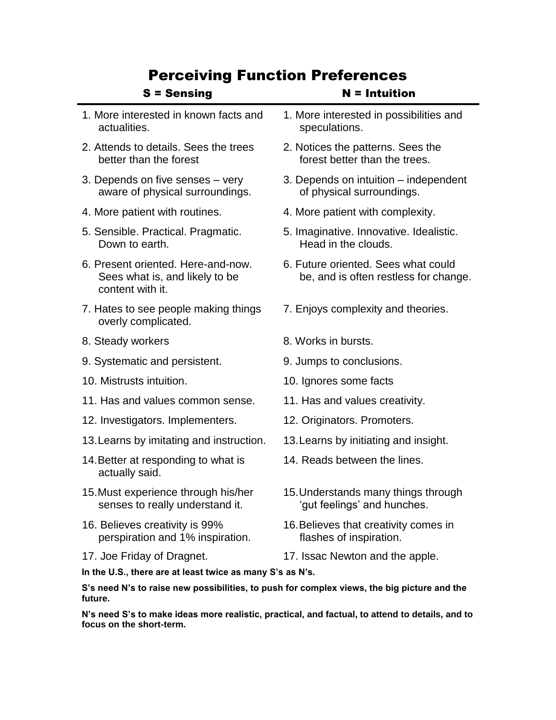## Perceiving Function Preferences

| <b>S</b> = Sensing                                                                                                                                                           | $N = Intuition$                                                              |
|------------------------------------------------------------------------------------------------------------------------------------------------------------------------------|------------------------------------------------------------------------------|
| 1. More interested in known facts and<br>actualities.                                                                                                                        | 1. More interested in possibilities and<br>speculations.                     |
| 2. Attends to details. Sees the trees<br>better than the forest                                                                                                              | 2. Notices the patterns. Sees the<br>forest better than the trees.           |
| 3. Depends on five senses - very<br>aware of physical surroundings.                                                                                                          | 3. Depends on intuition – independent<br>of physical surroundings.           |
| 4. More patient with routines.                                                                                                                                               | 4. More patient with complexity.                                             |
| 5. Sensible. Practical. Pragmatic.<br>Down to earth.                                                                                                                         | 5. Imaginative. Innovative. Idealistic.<br>Head in the clouds.               |
| 6. Present oriented. Here-and-now.<br>Sees what is, and likely to be<br>content with it.                                                                                     | 6. Future oriented. Sees what could<br>be, and is often restless for change. |
| 7. Hates to see people making things<br>overly complicated.                                                                                                                  | 7. Enjoys complexity and theories.                                           |
| 8. Steady workers                                                                                                                                                            | 8. Works in bursts.                                                          |
| 9. Systematic and persistent.                                                                                                                                                | 9. Jumps to conclusions.                                                     |
| 10. Mistrusts intuition.                                                                                                                                                     | 10. Ignores some facts                                                       |
| 11. Has and values common sense.                                                                                                                                             | 11. Has and values creativity.                                               |
| 12. Investigators. Implementers.                                                                                                                                             | 12. Originators. Promoters.                                                  |
| 13. Learns by imitating and instruction.                                                                                                                                     | 13. Learns by initiating and insight.                                        |
| 14. Better at responding to what is<br>actually said.                                                                                                                        | 14. Reads between the lines.                                                 |
| 15. Must experience through his/her<br>senses to really understand it.                                                                                                       | 15. Understands many things through<br>'gut feelings' and hunches.           |
| 16. Believes creativity is 99%<br>perspiration and 1% inspiration.                                                                                                           | 16. Believes that creativity comes in<br>flashes of inspiration.             |
| 17. Joe Friday of Dragnet.                                                                                                                                                   | 17. Issac Newton and the apple.                                              |
| In the U.S., there are at least twice as many S's as N's.<br>and all Mitsubiship and the concentration of the first control of the concentration of the concentration of the |                                                                              |
|                                                                                                                                                                              |                                                                              |

**S's need N's to raise new possibilities, to push for complex views, the big picture and the future.**

**N's need S's to make ideas more realistic, practical, and factual, to attend to details, and to focus on the short-term.**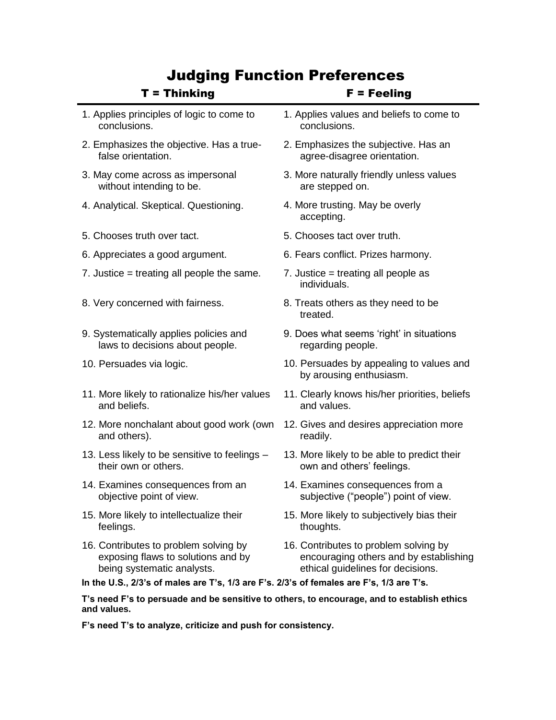# Judging Function Preferences

| $T = Thinking$                                                                                            | $F = Feeling$                                                       |  |
|-----------------------------------------------------------------------------------------------------------|---------------------------------------------------------------------|--|
| 1. Applies principles of logic to come to                                                                 | 1. Applies values and beliefs to come to                            |  |
| conclusions.                                                                                              | conclusions.                                                        |  |
| 2. Emphasizes the objective. Has a true-                                                                  | 2. Emphasizes the subjective. Has an                                |  |
| false orientation.                                                                                        | agree-disagree orientation.                                         |  |
| 3. May come across as impersonal                                                                          | 3. More naturally friendly unless values                            |  |
| without intending to be.                                                                                  | are stepped on.                                                     |  |
| 4. Analytical. Skeptical. Questioning.                                                                    | 4. More trusting. May be overly<br>accepting.                       |  |
| 5. Chooses truth over tact.                                                                               | 5. Chooses tact over truth.                                         |  |
| 6. Appreciates a good argument.                                                                           | 6. Fears conflict. Prizes harmony.                                  |  |
| 7. Justice $=$ treating all people the same.                                                              | 7. Justice $=$ treating all people as<br>individuals.               |  |
| 8. Very concerned with fairness.                                                                          | 8. Treats others as they need to be<br>treated.                     |  |
| 9. Systematically applies policies and                                                                    | 9. Does what seems 'right' in situations                            |  |
| laws to decisions about people.                                                                           | regarding people.                                                   |  |
| 10. Persuades via logic.                                                                                  | 10. Persuades by appealing to values and<br>by arousing enthusiasm. |  |
| 11. More likely to rationalize his/her values                                                             | 11. Clearly knows his/her priorities, beliefs                       |  |
| and beliefs.                                                                                              | and values.                                                         |  |
| 12. More nonchalant about good work (own                                                                  | 12. Gives and desires appreciation more                             |  |
| and others).                                                                                              | readily.                                                            |  |
| 13. Less likely to be sensitive to feelings -                                                             | 13. More likely to be able to predict their                         |  |
| their own or others.                                                                                      | own and others' feelings.                                           |  |
| 14. Examines consequences from an                                                                         | 14. Examines consequences from a                                    |  |
| objective point of view.                                                                                  | subjective ("people") point of view.                                |  |
| 15. More likely to intellectualize their                                                                  | 15. More likely to subjectively bias their                          |  |
| feelings.                                                                                                 | thoughts.                                                           |  |
| 16. Contributes to problem solving by                                                                     | 16. Contributes to problem solving by                               |  |
| exposing flaws to solutions and by                                                                        | encouraging others and by establishing                              |  |
| being systematic analysts.                                                                                | ethical guidelines for decisions.                                   |  |
| In the U.S., 2/3's of males are T's, 1/3 are F's. 2/3's of females are F's, 1/3 are T's.                  |                                                                     |  |
| T's need F's to persuade and be sensitive to others, to encourage, and to establish ethics<br>and values. |                                                                     |  |

**F's need T's to analyze, criticize and push for consistency.**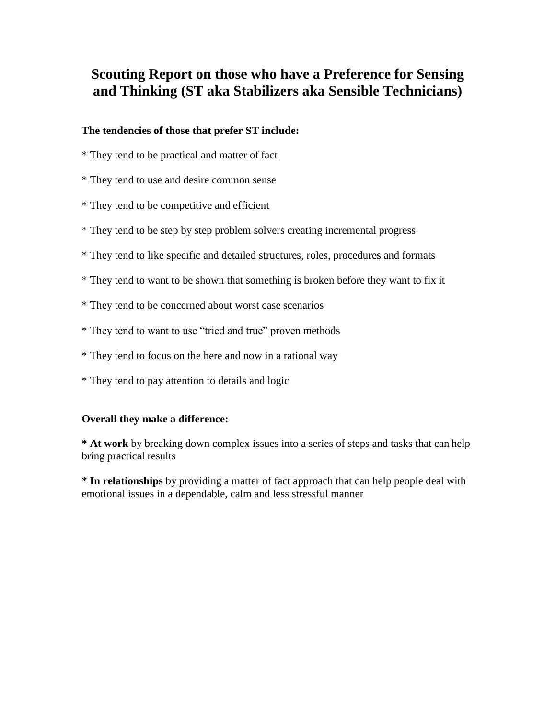## **Scouting Report on those who have a Preference for Sensing and Thinking (ST aka Stabilizers aka Sensible Technicians)**

#### **The tendencies of those that prefer ST include:**

- \* They tend to be practical and matter of fact
- \* They tend to use and desire common sense
- \* They tend to be competitive and efficient
- \* They tend to be step by step problem solvers creating incremental progress
- \* They tend to like specific and detailed structures, roles, procedures and formats
- \* They tend to want to be shown that something is broken before they want to fix it
- \* They tend to be concerned about worst case scenarios
- \* They tend to want to use "tried and true" proven methods
- \* They tend to focus on the here and now in a rational way
- \* They tend to pay attention to details and logic

#### **Overall they make a difference:**

**\* At work** by breaking down complex issues into a series of steps and tasks that can help bring practical results

**\* In relationships** by providing a matter of fact approach that can help people deal with emotional issues in a dependable, calm and less stressful manner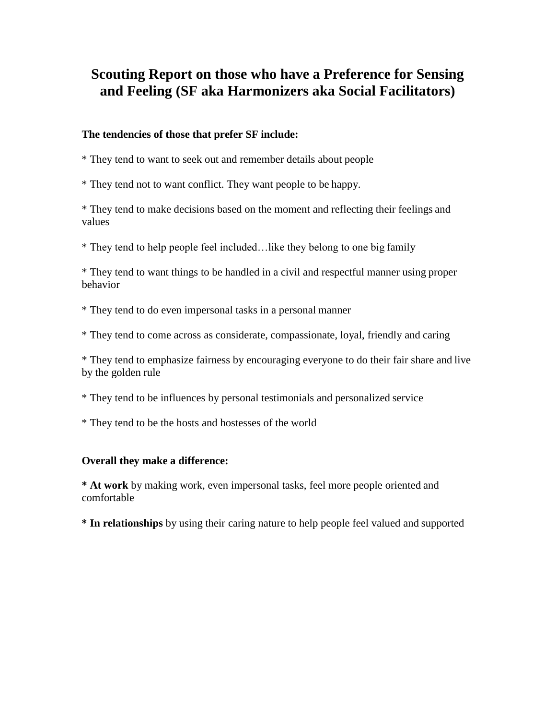## **Scouting Report on those who have a Preference for Sensing and Feeling (SF aka Harmonizers aka Social Facilitators)**

#### **The tendencies of those that prefer SF include:**

\* They tend to want to seek out and remember details about people

\* They tend not to want conflict. They want people to be happy.

\* They tend to make decisions based on the moment and reflecting their feelings and values

\* They tend to help people feel included…like they belong to one big family

\* They tend to want things to be handled in a civil and respectful manner using proper behavior

\* They tend to do even impersonal tasks in a personal manner

\* They tend to come across as considerate, compassionate, loyal, friendly and caring

\* They tend to emphasize fairness by encouraging everyone to do their fair share and live by the golden rule

\* They tend to be influences by personal testimonials and personalized service

\* They tend to be the hosts and hostesses of the world

#### **Overall they make a difference:**

**\* At work** by making work, even impersonal tasks, feel more people oriented and comfortable

**\* In relationships** by using their caring nature to help people feel valued and supported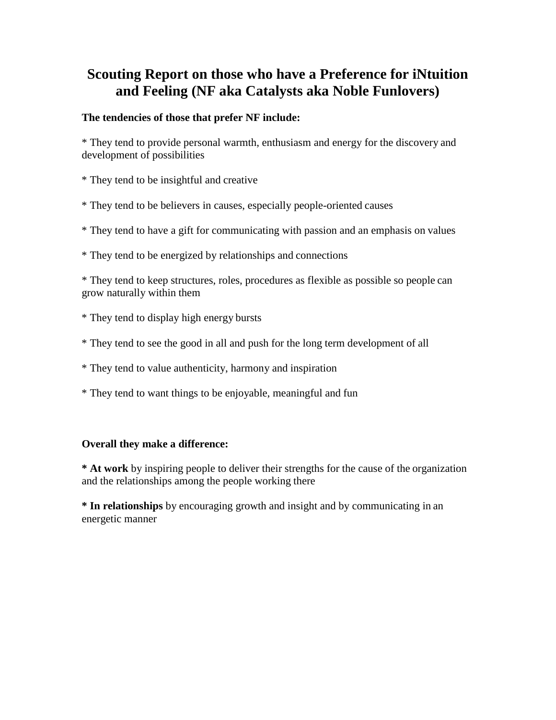# **Scouting Report on those who have a Preference for iNtuition and Feeling (NF aka Catalysts aka Noble Funlovers)**

### **The tendencies of those that prefer NF include:**

\* They tend to provide personal warmth, enthusiasm and energy for the discovery and development of possibilities

- \* They tend to be insightful and creative
- \* They tend to be believers in causes, especially people-oriented causes
- \* They tend to have a gift for communicating with passion and an emphasis on values
- \* They tend to be energized by relationships and connections

\* They tend to keep structures, roles, procedures as flexible as possible so people can grow naturally within them

- \* They tend to display high energy bursts
- \* They tend to see the good in all and push for the long term development of all
- \* They tend to value authenticity, harmony and inspiration
- \* They tend to want things to be enjoyable, meaningful and fun

#### **Overall they make a difference:**

**\* At work** by inspiring people to deliver their strengths for the cause of the organization and the relationships among the people working there

**\* In relationships** by encouraging growth and insight and by communicating in an energetic manner